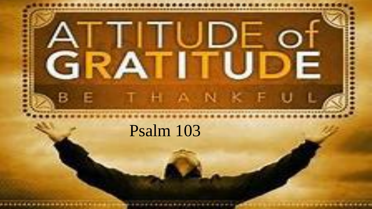

### Psalm 103

....................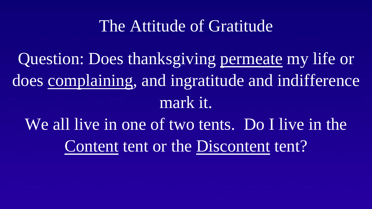#### The Attitude of Gratitude

Question: Does thanksgiving permeate my life or does complaining, and ingratitude and indifference mark it.

We all live in one of two tents. Do I live in the Content tent or the Discontent tent?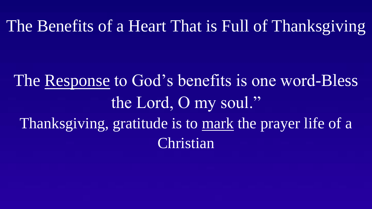The Benefits of a Heart That is Full of Thanksgiving

The Response to God's benefits is one word-Bless the Lord, O my soul." Thanksgiving, gratitude is to mark the prayer life of a **Christian**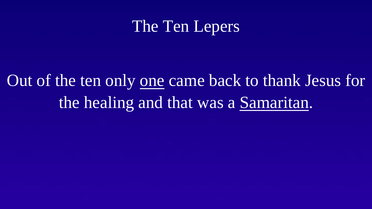### The Ten Lepers

# Out of the ten only one came back to thank Jesus for the healing and that was a Samaritan.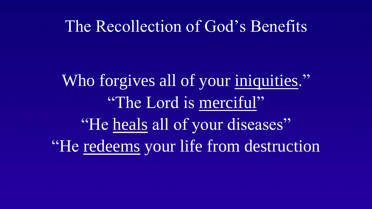#### The Recollection of God's Benefits

Who forgives all of your iniquities." "The Lord is merciful" "He heals all of your diseases" "He redeems your life from destruction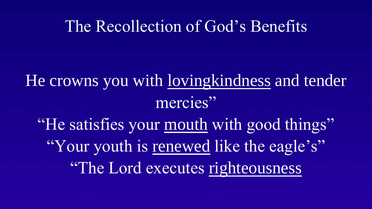#### The Recollection of God's Benefits

## He crowns you with lovingkindness and tender mercies"

"He satisfies your mouth with good things" "Your youth is renewed like the eagle's" "The Lord executes righteousness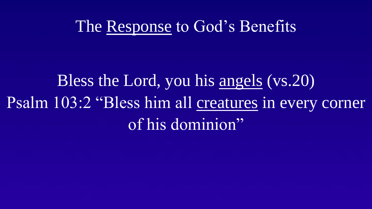#### The Response to God's Benefits

# Bless the Lord, you his angels (vs.20) Psalm 103:2 "Bless him all creatures in every corner of his dominion"